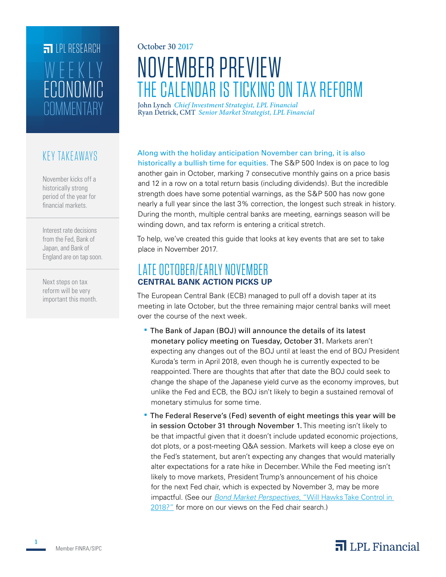## **FILLE** LPL RESEARCH **COMMENTARY** ECONOMIC WEEKL

### KEY TAKEAWAYS

November kicks off a historically strong period of the year for financial markets.

Interest rate decisions from the Fed, Bank of Japan, and Bank of England are on tap soon.

Next steps on tax reform will be very important this month.

# October 30 2017 NOVEMBER PREVIEW THE CALENDAR IS TICKING ON TAX REFORM

Ryan Detrick, CMT *Senior Market Strategist, LPL Financial* John Lynch *Chief Investment Strategist, LPL Financial*

#### Along with the holiday anticipation November can bring, it is also

historically a bullish time for equities. The S&P 500 Index is on pace to log another gain in October, marking 7 consecutive monthly gains on a price basis and 12 in a row on a total return basis (including dividends). But the incredible strength does have some potential warnings, as the S&P 500 has now gone nearly a full year since the last 3% correction, the longest such streak in history. During the month, multiple central banks are meeting, earnings season will be winding down, and tax reform is entering a critical stretch.

To help, we've created this guide that looks at key events that are set to take place in November 2017.

#### LATE OCTOBER/EARLY NOVEMBER **CENTRAL BANK ACTION PICKS UP**

The European Central Bank (ECB) managed to pull off a dovish taper at its meeting in late October, but the three remaining major central banks will meet over the course of the next week.

- The Bank of Japan (BOJ) will announce the details of its latest monetary policy meeting on Tuesday, October 31. Markets aren't expecting any changes out of the BOJ until at least the end of BOJ President Kuroda's term in April 2018, even though he is currently expected to be reappointed. There are thoughts that after that date the BOJ could seek to change the shape of the Japanese yield curve as the economy improves, but unlike the Fed and ECB, the BOJ isn't likely to begin a sustained removal of monetary stimulus for some time.
- The Federal Reserve's (Fed) seventh of eight meetings this year will be in session October 31 through November 1. This meeting isn't likely to be that impactful given that it doesn't include updated economic projections, dot plots, or a post-meeting Q&A session. Markets will keep a close eye on the Fed's statement, but aren't expecting any changes that would materially alter expectations for a rate hike in December. While the Fed meeting isn't likely to move markets, President Trump's announcement of his choice for the next Fed chair, which is expected by November 3, may be more impactful. (See our *Bond Market Perspectives*[, "Will Hawks Take Control in](https://lpl-research.com/~rss/LPL_RSS_Feeds_Publications/BMP/Bond_Market_Perspectives_10242017.pdf)  [2018?"](https://lpl-research.com/~rss/LPL_RSS_Feeds_Publications/BMP/Bond_Market_Perspectives_10242017.pdf) for more on our views on the Fed chair search.)

### $\overline{\mathbf{a}}$  LPL Financial

**1**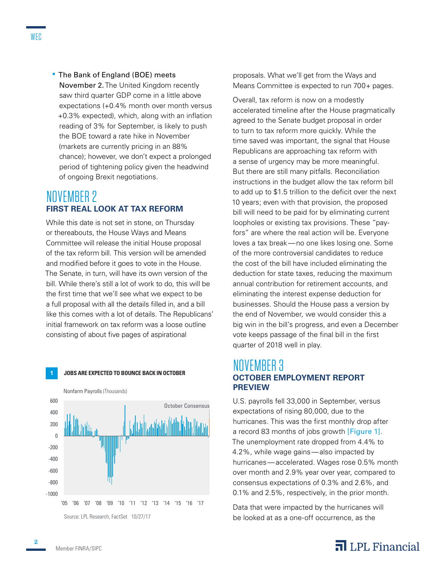**The Bank of England (BOE) meets** November 2. The United Kingdom recently saw third quarter GDP come in a little above expectations (+0.4% month over month versus +0.3% expected), which, along with an inflation reading of 3% for September, is likely to push the BOE toward a rate hike in November (markets are currently pricing in an 88% chance); however, we don't expect a prolonged period of tightening policy given the headwind of ongoing Brexit negotiations.

### NOVEMBER 2 **FIRST REAL LOOK AT TAX REFORM**

While this date is not set in stone, on Thursday or thereabouts, the House Ways and Means Committee will release the initial House proposal of the tax reform bill. This version will be amended and modified before it goes to vote in the House. The Senate, in turn, will have its own version of the bill. While there's still a lot of work to do, this will be the first time that we'll see what we expect to be a full proposal with all the details filled in, and a bill like this comes with a lot of details. The Republicans' initial framework on tax reform was a loose outline consisting of about five pages of aspirational



**1 JOBS ARE EXPECTED TO BOUNCE BACK IN OCTOBER**

proposals. What we'll get from the Ways and Means Committee is expected to run 700+ pages.

Overall, tax reform is now on a modestly accelerated timeline after the House pragmatically agreed to the Senate budget proposal in order to turn to tax reform more quickly. While the time saved was important, the signal that House Republicans are approaching tax reform with a sense of urgency may be more meaningful. But there are still many pitfalls. Reconciliation instructions in the budget allow the tax reform bill to add up to \$1.5 trillion to the deficit over the next 10 years; even with that provision, the proposed bill will need to be paid for by eliminating current loopholes or existing tax provisions. These "payfors" are where the real action will be. Everyone loves a tax break—no one likes losing one. Some of the more controversial candidates to reduce the cost of the bill have included eliminating the deduction for state taxes, reducing the maximum annual contribution for retirement accounts, and eliminating the interest expense deduction for businesses. Should the House pass a version by the end of November, we would consider this a big win in the bill's progress, and even a December vote keeps passage of the final bill in the first quarter of 2018 well in play.

#### NOVEMBER 3 **OCTOBER EMPLOYMENT REPORT PREVIEW**

U.S. payrolls fell 33,000 in September, versus expectations of rising 80,000, due to the hurricanes. This was the first monthly drop after a record 83 months of jobs growth [Figure 1]. The unemployment rate dropped from 4.4% to 4.2%, while wage gains—also impacted by hurricanes—accelerated. Wages rose 0.5% month over month and 2.9% year over year, compared to consensus expectations of 0.3% and 2.6%, and 0.1% and 2.5%, respectively, in the prior month.

Data that were impacted by the hurricanes will be looked at as a one-off occurrence, as the



**2**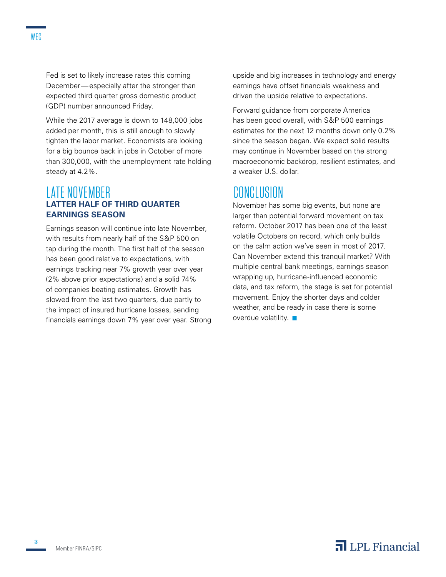Fed is set to likely increase rates this coming December—especially after the stronger than expected third quarter gross domestic product (GDP) number announced Friday.

While the 2017 average is down to 148,000 jobs added per month, this is still enough to slowly tighten the labor market. Economists are looking for a big bounce back in jobs in October of more than 300,000, with the unemployment rate holding steady at 4.2%.

#### LATE NOVEMBER **LATTER HALF OF THIRD QUARTER EARNINGS SEASON**

Earnings season will continue into late November, with results from nearly half of the S&P 500 on tap during the month. The first half of the season has been good relative to expectations, with earnings tracking near 7% growth year over year (2% above prior expectations) and a solid 74% of companies beating estimates. Growth has slowed from the last two quarters, due partly to the impact of insured hurricane losses, sending financials earnings down 7% year over year. Strong upside and big increases in technology and energy earnings have offset financials weakness and driven the upside relative to expectations.

Forward guidance from corporate America has been good overall, with S&P 500 earnings estimates for the next 12 months down only 0.2% since the season began. We expect solid results may continue in November based on the strong macroeconomic backdrop, resilient estimates, and a weaker U.S. dollar.

### CONCLUSION

November has some big events, but none are larger than potential forward movement on tax reform. October 2017 has been one of the least volatile Octobers on record, which only builds on the calm action we've seen in most of 2017. Can November extend this tranquil market? With multiple central bank meetings, earnings season wrapping up, hurricane-influenced economic data, and tax reform, the stage is set for potential movement. Enjoy the shorter days and colder weather, and be ready in case there is some overdue volatility.  $\blacksquare$ 

**3**

### $\overline{\mathbf{a}}$  LPL Financial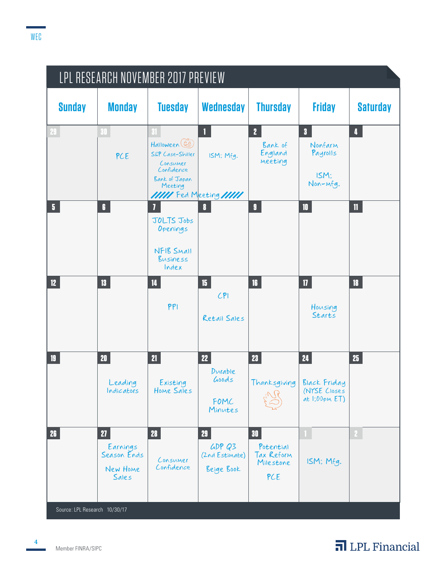| LPL RESEARCH NOVEMBER 2017 PREVIEW |                                                    |                                                                                                                          |                                              |                                                                |                                                                    |                         |
|------------------------------------|----------------------------------------------------|--------------------------------------------------------------------------------------------------------------------------|----------------------------------------------|----------------------------------------------------------------|--------------------------------------------------------------------|-------------------------|
| <b>Sunday</b>                      | <b>Monday</b>                                      | <b>Tuesday</b>                                                                                                           | <b>Wednesday</b>                             | <b>Thursday</b>                                                | <b>Friday</b>                                                      | <b>Saturday</b>         |
| 29.                                | 30<br>PCE                                          | 31<br>Halloween (AA)<br>S&P Case-Shiller<br>Consumer<br>Confidence<br>Bank of Japan<br>Meeting<br>IIII Fed Meeting IIIII | 1<br>ISM: Mfg.                               | $\overline{2}$<br>Bank of<br>England<br>Meeting                | $\overline{\mathbf{3}}$<br>Nonfarm<br>Payrolls<br>ISM:<br>Non-mfg. | $\overline{\mathbf{4}}$ |
| $\overline{\mathbf{5}}$            | $\mathbf{6}$                                       | 7<br>JOLTS Jobs<br>Openings<br>NFIB SMAIL<br>Business<br>Index                                                           | 8                                            | $\mathbf{g}$                                                   | 10                                                                 | $\mathbf{1}$            |
| 12 <sup>°</sup>                    | 13 <sup>°</sup>                                    | $\overline{\mathbf{14}}$<br>PPI                                                                                          | 15 <sub>15</sub><br>CP1<br>Retail Sales      | 16                                                             | $\overline{\mathbf{u}}$<br>Housing<br>Starts                       | 18                      |
| 19                                 | 20 <sub>z</sub><br>Leading<br>Indicators           | 21<br>Existing<br>Home Sales                                                                                             | 22<br>Durable<br>Goods<br>FOMC<br>Minutes    | 23 <sup>°</sup><br>Thanksgiving                                | 24<br>Black Friday<br>(NYSE Closes<br>at $1:00 \text{pM ET}$       | 25 <sub>1</sub>         |
| 26                                 | 27<br>Earnings<br>Season Ends<br>New Home<br>Sales | 28<br>Consumer<br>Confidence                                                                                             | 29<br>GDP Q3<br>(2nd Estimate)<br>Beige Book | 30 <sub>1</sub><br>Potential<br>Tax Reform<br>Milestone<br>PCE | ISM: Mfg.                                                          |                         |
| Source: LPL Research 10/30/17      |                                                    |                                                                                                                          |                                              |                                                                |                                                                    |                         |

Member FINRA/SIPC

**4**

## **n** LPL Financial